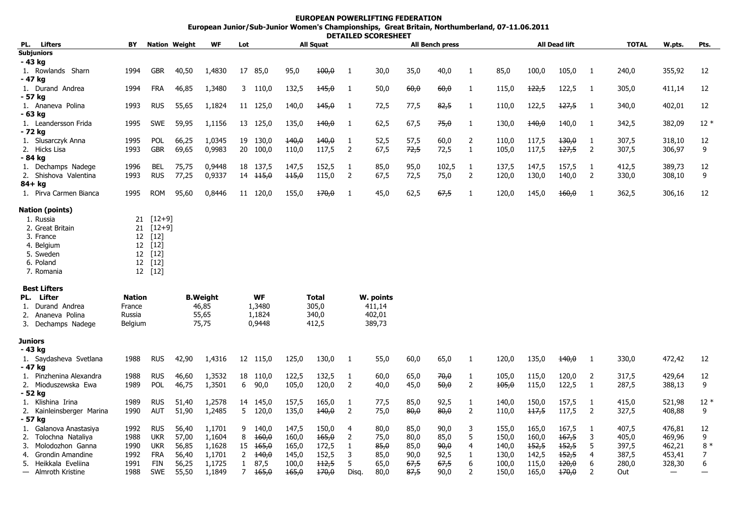## **EUROPEAN POWERLIFTING FEDERATIONEuropean Junior/Sub-Junior Women's Championships, Great Britain, Northumberland, 07-11.06.2011 DETAILED SCORESHEET**

| PL.     | <b>Lifters</b>                    | ΒY                          |            | <b>Nation Weight</b>    | WF     | Lot                        |                     | <b>All Squat</b>        |       |                |        | <b>All Bench press</b> |       |                |       | <b>All Dead lift</b> |       |                |       | W.pts.            | Pts.  |
|---------|-----------------------------------|-----------------------------|------------|-------------------------|--------|----------------------------|---------------------|-------------------------|-------|----------------|--------|------------------------|-------|----------------|-------|----------------------|-------|----------------|-------|-------------------|-------|
|         | <b>Subjuniors</b>                 |                             |            |                         |        |                            |                     |                         |       |                |        |                        |       |                |       |                      |       |                |       |                   |       |
|         | - 43 kg                           |                             |            |                         |        |                            |                     |                         |       |                |        |                        |       |                |       |                      |       |                |       |                   |       |
|         | 1. Rowlands Sharn                 | 1994                        | <b>GBR</b> | 40,50                   | 1,4830 |                            | 17 85,0             | 95,0                    | 100,0 | 1              | 30,0   | 35,0                   | 40,0  | 1              | 85,0  | 100,0                | 105,0 | 1              | 240,0 | 355,92            | 12    |
|         | - 47 kg                           |                             |            |                         |        |                            |                     |                         |       |                |        |                        |       |                |       |                      |       |                |       |                   |       |
|         | 1. Durand Andrea                  | 1994                        | <b>FRA</b> | 46,85                   | 1,3480 |                            | 3 110,0             | 132,5                   | 145,0 | -1             | 50,0   | 60,0                   | 60,0  | 1              | 115,0 | 122,5                | 122,5 | -1             | 305,0 | 411,14            | 12    |
|         | - 57 kg                           | 1993                        | <b>RUS</b> | 55,65                   |        |                            |                     |                         | 145,0 | 1              | 72,5   | 77,5                   | 82,5  |                |       | 122,5                | 127,5 | -1             |       | 402,01            | 12    |
|         | 1. Ananeva Polina<br>- 63 ka      |                             |            |                         | 1,1824 |                            | 11 125,0            | 140,0                   |       |                |        |                        |       | 1              | 110,0 |                      |       |                | 340,0 |                   |       |
|         | 1. Leandersson Frida              | 1995                        | <b>SWE</b> | 59,95                   | 1,1156 |                            | 13 125,0            | 135,0                   | 140,0 | -1             | 62,5   | 67,5                   | 75,0  | $\mathbf{1}$   | 130,0 | 140,0                | 140,0 | -1             | 342,5 | 382,09            | $12*$ |
|         | - 72 kg                           |                             |            |                         |        |                            |                     |                         |       |                |        |                        |       |                |       |                      |       |                |       |                   |       |
|         | 1. Slusarczyk Anna                | 1995                        | <b>POL</b> | 66,25                   | 1,0345 |                            | 19 130,0            | 140,0                   | 140,0 | -1             | 52,5   | 57,5                   | 60,0  | $\overline{2}$ | 110,0 | 117,5                | 130,0 | 1              | 307,5 | 318,10            | 12    |
|         | 2. Hicks Lisa                     | 1993                        | <b>GBR</b> | 69,65                   | 0,9983 |                            | 20 100,0            | 110,0                   | 117,5 | 2              | 67,5   | 72,5                   | 72,5  | $\mathbf{1}$   | 105,0 | 117,5                | 127,5 | $\overline{2}$ | 307,5 | 306,97            | 9     |
|         | - 84 kg                           |                             |            |                         |        |                            |                     |                         |       |                |        |                        |       |                |       |                      |       |                |       |                   |       |
|         | 1. Dechamps Nadege                | 1996                        | BEL        | 75,75                   | 0,9448 |                            | 18 137,5            | 147,5                   | 152,5 | 1              | 85,0   | 95,0                   | 102,5 | 1              | 137,5 | 147,5                | 157,5 | -1             | 412,5 | 389,73            | 12    |
|         | 2. Shishova Valentina             | 1993                        | <b>RUS</b> | 77,25                   | 0,9337 |                            | $14 \quad 115,0$    | 115,0                   | 115,0 | 2              | 67,5   | 72,5                   | 75,0  | $\overline{2}$ | 120,0 | 130,0                | 140,0 | $\overline{2}$ | 330,0 | 308,10            | 9     |
|         | $84+$ kg                          |                             |            |                         |        |                            |                     |                         |       |                |        |                        |       |                |       |                      |       |                |       |                   |       |
|         | 1. Pirva Carmen Bianca            | 1995                        | <b>ROM</b> | 95,60                   | 0,8446 |                            | 11 120,0            | 155,0                   | 170,0 | -1             | 45,0   | 62,5                   | 67,5  | 1              | 120,0 | 145,0                | 160,0 | -1             | 362,5 | 306,16            | 12    |
|         | Nation (points)                   |                             |            |                         |        |                            |                     |                         |       |                |        |                        |       |                |       |                      |       |                |       |                   |       |
|         | 1. Russia                         | 21                          | $[12+9]$   |                         |        |                            |                     |                         |       |                |        |                        |       |                |       |                      |       |                |       |                   |       |
|         | 2. Great Britain                  | 21                          | $[12+9]$   |                         |        |                            |                     |                         |       |                |        |                        |       |                |       |                      |       |                |       |                   |       |
|         | 3. France                         | 12                          | $[12]$     |                         |        |                            |                     |                         |       |                |        |                        |       |                |       |                      |       |                |       |                   |       |
|         | 4. Belgium                        |                             | 12 [12]    |                         |        |                            |                     |                         |       |                |        |                        |       |                |       |                      |       |                |       |                   |       |
|         | 5. Sweden                         |                             | 12 [12]    |                         |        |                            |                     |                         |       |                |        |                        |       |                |       |                      |       |                |       |                   |       |
|         | 6. Poland                         |                             | 12 [12]    |                         |        |                            |                     |                         |       |                |        |                        |       |                |       |                      |       |                |       |                   |       |
|         | 7. Romania                        |                             | 12 [12]    |                         |        |                            |                     |                         |       |                |        |                        |       |                |       |                      |       |                |       |                   |       |
|         | <b>Best Lifters</b>               |                             |            |                         |        |                            |                     |                         |       |                |        |                        |       |                |       |                      |       |                |       |                   |       |
|         | PL. Lifter                        | <b>Nation</b>               |            | <b>B.Weight</b>         |        | <b>WF</b>                  |                     | <b>Total</b>            |       | W. points      |        |                        |       |                |       |                      |       |                |       |                   |       |
|         | 1. Durand Andrea                  | France<br>Russia<br>Belgium |            | 46,85<br>55,65<br>75,75 |        | 1,3480<br>1,1824<br>0,9448 |                     | 305,0<br>340,0<br>412,5 |       |                | 411,14 |                        |       |                |       |                      |       |                |       |                   |       |
|         | 2. Ananeva Polina                 |                             |            |                         |        |                            |                     |                         |       |                | 402,01 |                        |       |                |       |                      |       |                |       |                   |       |
|         | 3. Dechamps Nadege                |                             |            |                         |        |                            |                     |                         |       | 389,73         |        |                        |       |                |       |                      |       |                |       |                   |       |
| Juniors |                                   |                             |            |                         |        |                            |                     |                         |       |                |        |                        |       |                |       |                      |       |                |       |                   |       |
|         | - 43 kg                           |                             |            |                         |        |                            |                     |                         |       |                |        |                        |       |                |       |                      |       |                |       |                   |       |
|         | 1. Saydasheva Svetlana<br>- 47 kg | 1988                        | <b>RUS</b> | 42,90                   | 1,4316 |                            | 12 115,0            | 125,0                   | 130,0 | 1              | 55,0   | 60,0                   | 65,0  | 1              | 120,0 | 135,0                | 140,0 | -1             | 330,0 | 472,42            | 12    |
|         | 1. Pinzhenina Alexandra           | 1988                        | <b>RUS</b> | 46,60                   | 1,3532 |                            | 18 110,0            | 122,5                   | 132,5 | 1              | 60,0   | 65,0                   | 70,0  | 1              | 105,0 | 115,0                | 120,0 | 2              | 317,5 | 429,64            | 12    |
|         | 2. Mioduszewska Ewa               | 1989                        | <b>POL</b> | 46,75                   | 1,3501 | 6                          | 90,0                | 105,0                   | 120,0 | 2              | 40,0   | 45,0                   | 50,0  | $\overline{2}$ | 105,0 | 115,0                | 122,5 | $\mathbf{1}$   | 287,5 | 388,13            | 9     |
|         | - 52 kg                           |                             |            |                         |        |                            |                     |                         |       |                |        |                        |       |                |       |                      |       |                |       |                   |       |
|         | 1. Klishina Irina                 | 1989                        | <b>RUS</b> | 51,40                   | 1,2578 |                            | 14 145,0            | 157,5                   | 165,0 | 1              | 77,5   | 85,0                   | 92,5  | $\mathbf{1}$   | 140,0 | 150,0                | 157,5 | 1              | 415,0 | 521,98            | $12*$ |
|         | 2. Kainleinsberger Marina         | 1990                        | <b>AUT</b> | 51,90                   | 1,2485 | 5                          | 120,0               | 135,0                   | 140,0 | $\overline{2}$ | 75,0   | 80,0                   | 80,0  | 2              | 110,0 | 117,5                | 117,5 | 2              | 327,5 | 408,88            | 9     |
|         | - 57 kg                           |                             |            |                         |        |                            |                     |                         |       |                |        |                        |       |                |       |                      |       |                |       |                   |       |
|         | 1. Galanova Anastasiya            | 1992                        | <b>RUS</b> | 56,40                   | 1,1701 | 9                          | 140,0               | 147,5                   | 150,0 | 4              | 80,0   | 85,0                   | 90,0  | 3              | 155,0 | 165,0                | 167,5 | 1              | 407,5 | 476,81            | 12    |
|         | 2. Tolochna Nataliya              | 1988                        | <b>UKR</b> | 57,00                   | 1,1604 | 8                          | 160,0               | 160,0                   | 165,0 | $\overline{2}$ | 75,0   | 80,0                   | 85,0  | 5              | 150,0 | 160,0                | 167,5 | 3              | 405,0 | 469,96            | 9     |
| 3.      | Molodozhon Ganna                  | 1990                        | <b>UKR</b> | 56,85                   | 1,1628 |                            | 15 <del>165,0</del> | 165,0                   | 172,5 | $\mathbf{1}$   | 85,0   | 85,0                   | 90,0  | 4              | 140,0 | 152,5                | 152,5 | 5              | 397,5 | 462,21            | $8 *$ |
|         | 4. Grondin Amandine               | 1992                        | FRA        | 56,40                   | 1,1701 | $\overline{2}$             | 140,0               | 145,0                   | 152,5 | 3              | 85,0   | 90,0                   | 92,5  | $\mathbf{1}$   | 130,0 | 142,5                | 152,5 | $\overline{4}$ | 387,5 | 453,41            | 7     |
|         | 5. Heikkala Eveliina              | 1991                        | <b>FIN</b> | 56,25                   | 1,1725 | $\mathbf{1}$               | 87,5                | 100,0                   | 112,5 | 5              | 65,0   | 67,5                   | 67,5  | 6              | 100,0 | 115,0                | 120,0 | 6              | 280,0 | 328,30            | 6     |
|         | - Almroth Kristine                | 1988                        | <b>SWE</b> | 55,50                   | 1,1849 | $7^{\circ}$                | 165,0               | 165,0                   | 170,0 | Disq.          | 80,0   | 87,5                   | 90.0  | $\overline{2}$ | 150,0 | 165,0                | 170,0 | 2              | Out   | $\qquad \qquad =$ |       |